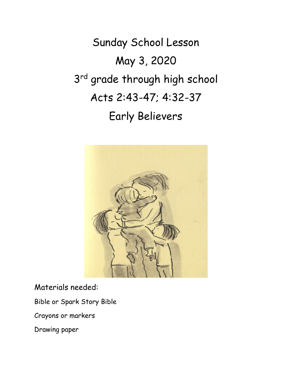Sunday School Lesson May 3, 2020 3<sup>rd</sup> grade through high school Acts 2:43-47; 4:32-37 Early Believers



Materials needed:

Bible or Spark Story Bible

Crayons or markers

Drawing paper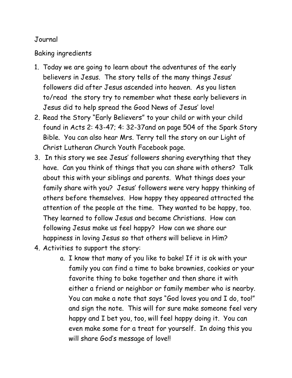## Journal

## Baking ingredients

- 1. Today we are going to learn about the adventures of the early believers in Jesus. The story tells of the many things Jesus' followers did after Jesus ascended into heaven. As you listen to/read the story try to remember what these early believers in Jesus did to help spread the Good News of Jesus' love!
- 2. Read the Story "Early Believers" to your child or with your child found in Acts 2: 43-47; 4: 32-37and on page 504 of the Spark Story Bible. You can also hear Mrs. Terry tell the story on our Light of Christ Lutheran Church Youth Facebook page.
- 3. In this story we see Jesus' followers sharing everything that they have. Can you think of things that you can share with others? Talk about this with your siblings and parents. What things does your family share with you? Jesus' followers were very happy thinking of others before themselves. How happy they appeared attracted the attention of the people at the time. They wanted to be happy, too. They learned to follow Jesus and became Christians. How can following Jesus make us feel happy? How can we share our happiness in loving Jesus so that others will believe in Him?
- 4. Activities to support the story:
	- a. I know that many of you like to bake! If it is ok with your family you can find a time to bake brownies, cookies or your favorite thing to bake together and then share it with either a friend or neighbor or family member who is nearby. You can make a note that says "God loves you and I do, too!" and sign the note. This will for sure make someone feel very happy and I bet you, too, will feel happy doing it. You can even make some for a treat for yourself. In doing this you will share God's message of love!!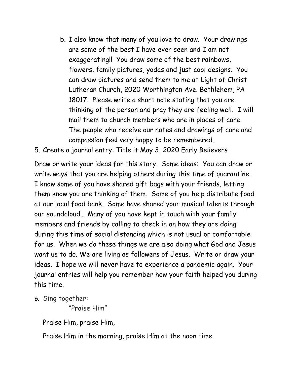- b. I also know that many of you love to draw. Your drawings are some of the best I have ever seen and I am not exaggerating!! You draw some of the best rainbows, flowers, family pictures, yodas and just cool designs. You can draw pictures and send them to me at Light of Christ Lutheran Church, 2020 Worthington Ave. Bethlehem, PA 18017. Please write a short note stating that you are thinking of the person and pray they are feeling well. I will mail them to church members who are in places of care. The people who receive our notes and drawings of care and compassion feel very happy to be remembered.
- 5. Create a journal entry: Title it May 3, 2020 Early Believers

Draw or write your ideas for this story. Some ideas: You can draw or write ways that you are helping others during this time of quarantine. I know some of you have shared gift bags with your friends, letting them know you are thinking of them. Some of you help distribute food at our local food bank. Some have shared your musical talents through our soundcloud.. Many of you have kept in touch with your family members and friends by calling to check in on how they are doing during this time of social distancing which is not usual or comfortable for us. When we do these things we are also doing what God and Jesus want us to do. We are living as followers of Jesus. Write or draw your ideas. I hope we will never have to experience a pandemic again. Your journal entries will help you remember how your faith helped you during this time.

*6.* Sing together:

"Praise Him"

Praise Him, praise Him,

Praise Him in the morning, praise Him at the noon time.